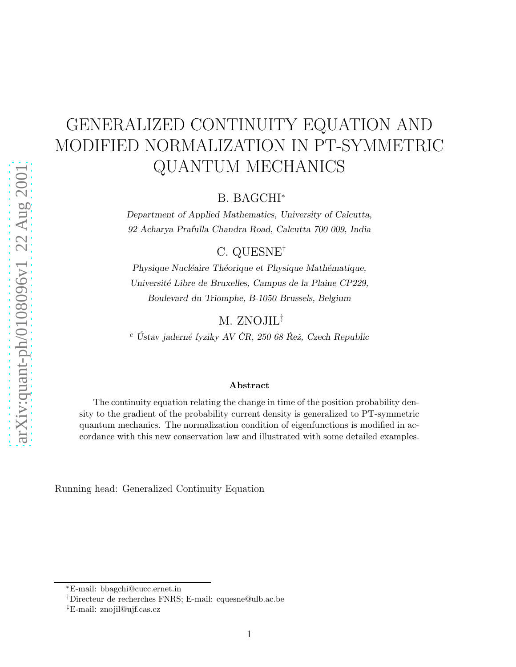# GENERALIZED CONTINUITY EQUATION AND MODIFIED NORMALIZATION IN PT-SYMMETRIC QUANTUM MECHANICS

B. BAGCHI<sup>∗</sup>

Department of Applied Mathematics, University of Calcutta, 92 Acharya Prafulla Chandra Road, Calcutta 700 009, India

C. QUESNE†

Physique Nucléaire Théorique et Physique Mathématique, Université Libre de Bruxelles, Campus de la Plaine CP229, Boulevard du Triomphe, B-1050 Brussels, Belgium

M. ZNOJIL‡

 $^c$ Ústav jaderné fyziky AV ČR, 250 68 Řež, Czech Republic

#### Abstract

The continuity equation relating the change in time of the position probability density to the gradient of the probability current density is generalized to PT-symmetric quantum mechanics. The normalization condition of eigenfunctions is modified in accordance with this new conservation law and illustrated with some detailed examples.

Running head: Generalized Continuity Equation

<sup>∗</sup>E-mail: bbagchi@cucc.ernet.in

<sup>†</sup>Directeur de recherches FNRS; E-mail: cquesne@ulb.ac.be

<sup>‡</sup>E-mail: znojil@ujf.cas.cz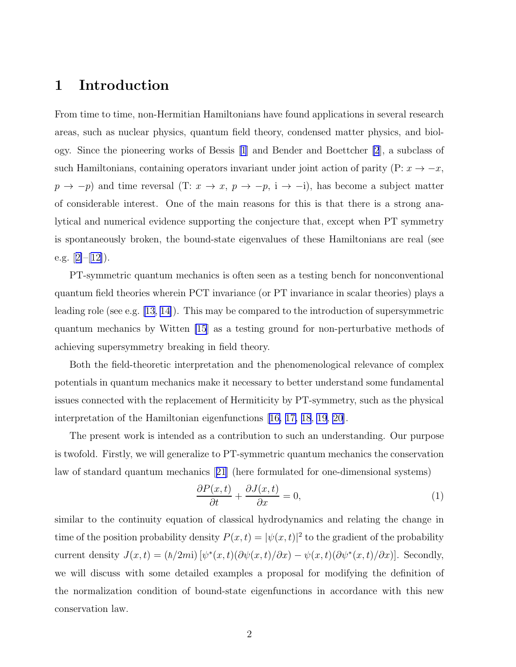#### <span id="page-1-0"></span>1 Introduction

From time to time, non-Hermitian Hamiltonians have found applications in several research areas, such as nuclear physics, quantum field theory, condensed matter physics, and biology. Since the pioneering works of Bessis [\[1](#page-12-0)] and Bender and Boettcher [\[2](#page-12-0)], a subclass of such Hamiltonians, containing operators invariant under joint action of parity (P:  $x \to -x$ ,  $p \rightarrow -p$ ) and time reversal (T:  $x \rightarrow x$ ,  $p \rightarrow -p$ , i  $\rightarrow -i$ ), has become a subject matter of considerable interest. One of the main reasons for this is that there is a strong analytical and numerical evidence supporting the conjecture that, except when PT symmetry is spontaneously broken, the bound-state eigenvalues of these Hamiltonians are real (see e.g. $[2]-[12]$  $[2]-[12]$  $[2]-[12]$  $[2]-[12]$ .

PT-symmetric quantum mechanics is often seen as a testing bench for nonconventional quantum field theories wherein PCT invariance (or PT invariance in scalar theories) plays a leading role (see e.g. [\[13, 14\]](#page-12-0)). This may be compared to the introduction of supersymmetric quantum mechanics by Witten [\[15](#page-12-0)] as a testing ground for non-perturbative methods of achieving supersymmetry breaking in field theory.

Both the field-theoretic interpretation and the phenomenological relevance of complex potentials in quantum mechanics make it necessary to better understand some fundamental issues connected with the replacement of Hermiticity by PT-symmetry, such as the physical interpretation of the Hamiltonian eigenfunctions[[16,](#page-12-0) [17, 18](#page-13-0), [19](#page-13-0), [20](#page-13-0)].

The present work is intended as a contribution to such an understanding. Our purpose is twofold. Firstly, we will generalize to PT-symmetric quantum mechanics the conservation law of standard quantum mechanics[[21](#page-13-0)] (here formulated for one-dimensional systems)

$$
\frac{\partial P(x,t)}{\partial t} + \frac{\partial J(x,t)}{\partial x} = 0,\tag{1}
$$

similar to the continuity equation of classical hydrodynamics and relating the change in time of the position probability density  $P(x,t) = |\psi(x,t)|^2$  to the gradient of the probability current density  $J(x,t) = (\hbar/2mi) [\psi^*(x,t)(\partial \psi(x,t)/\partial x) - \psi(x,t)(\partial \psi^*(x,t)/\partial x)].$  Secondly, we will discuss with some detailed examples a proposal for modifying the definition of the normalization condition of bound-state eigenfunctions in accordance with this new conservation law.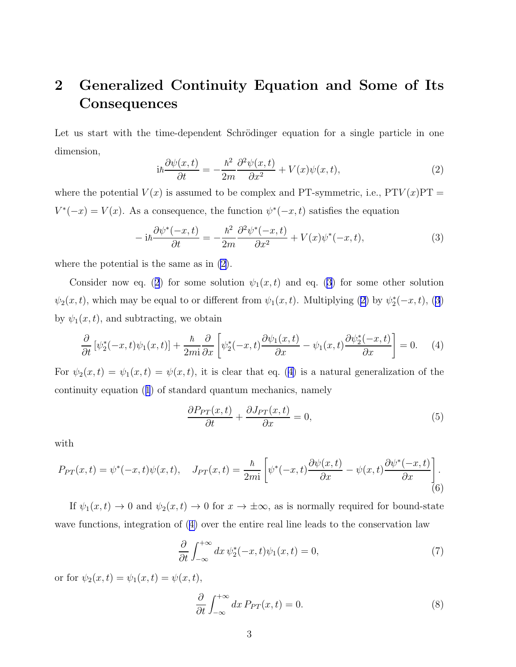## <span id="page-2-0"></span>2 Generalized Continuity Equation and Some of Its **Consequences**

Let us start with the time-dependent Schrödinger equation for a single particle in one dimension,

$$
i\hbar \frac{\partial \psi(x,t)}{\partial t} = -\frac{\hbar^2}{2m} \frac{\partial^2 \psi(x,t)}{\partial x^2} + V(x)\psi(x,t),\tag{2}
$$

where the potential  $V(x)$  is assumed to be complex and PT-symmetric, i.e.,  $PTV(x)PT =$  $V^*(-x) = V(x)$ . As a consequence, the function  $\psi^*(-x,t)$  satisfies the equation

$$
-i\hbar \frac{\partial \psi^*(-x,t)}{\partial t} = -\frac{\hbar^2}{2m} \frac{\partial^2 \psi^*(-x,t)}{\partial x^2} + V(x)\psi^*(-x,t),\tag{3}
$$

where the potential is the same as in (2).

Consider now eq. (2) for some solution  $\psi_1(x,t)$  and eq. (3) for some other solution  $\psi_2(x,t)$ , which may be equal to or different from  $\psi_1(x,t)$ . Multiplying (2) by  $\psi_2^*$  $_{2}^{*}(-x,t), (3)$ by  $\psi_1(x,t)$ , and subtracting, we obtain

$$
\frac{\partial}{\partial t} \left[ \psi_2^*(-x,t)\psi_1(x,t) \right] + \frac{\hbar}{2mi} \frac{\partial}{\partial x} \left[ \psi_2^*(-x,t) \frac{\partial \psi_1(x,t)}{\partial x} - \psi_1(x,t) \frac{\partial \psi_2^*(-x,t)}{\partial x} \right] = 0. \tag{4}
$$

For  $\psi_2(x,t) = \psi_1(x,t) = \psi(x,t)$ , it is clear that eq. (4) is a natural generalization of the continuity equation([1](#page-1-0)) of standard quantum mechanics, namely

$$
\frac{\partial P_{PT}(x,t)}{\partial t} + \frac{\partial J_{PT}(x,t)}{\partial x} = 0,\tag{5}
$$

with

$$
P_{PT}(x,t) = \psi^*(-x,t)\psi(x,t), \quad J_{PT}(x,t) = \frac{\hbar}{2mi} \left[ \psi^*(-x,t) \frac{\partial \psi(x,t)}{\partial x} - \psi(x,t) \frac{\partial \psi^*(-x,t)}{\partial x} \right].
$$
\n(6)

If  $\psi_1(x,t) \to 0$  and  $\psi_2(x,t) \to 0$  for  $x \to \pm \infty$ , as is normally required for bound-state wave functions, integration of (4) over the entire real line leads to the conservation law

$$
\frac{\partial}{\partial t} \int_{-\infty}^{+\infty} dx \, \psi_2^*(-x, t)\psi_1(x, t) = 0,\tag{7}
$$

or for  $\psi_2(x,t) = \psi_1(x,t) = \psi(x,t)$ ,

$$
\frac{\partial}{\partial t} \int_{-\infty}^{+\infty} dx P_{PT}(x,t) = 0.
$$
\n(8)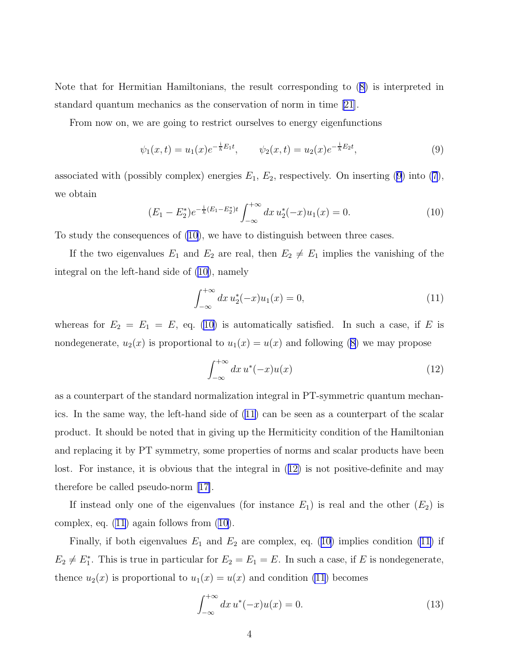<span id="page-3-0"></span>Note that for Hermitian Hamiltonians, the result corresponding to([8\)](#page-2-0) is interpreted in standard quantum mechanics as the conservation of norm in time [\[21\]](#page-13-0).

From now on, we are going to restrict ourselves to energy eigenfunctions

$$
\psi_1(x,t) = u_1(x)e^{-\frac{i}{\hbar}E_1t}, \qquad \psi_2(x,t) = u_2(x)e^{-\frac{i}{\hbar}E_2t}, \tag{9}
$$

associated with (possibly complex) energies  $E_1, E_2$ , respectively. On inserting (9) into [\(7](#page-2-0)), we obtain

$$
(E_1 - E_2^*)e^{-\frac{1}{\hbar}(E_1 - E_2^*)t} \int_{-\infty}^{+\infty} dx \, u_2^*(-x)u_1(x) = 0. \tag{10}
$$

To study the consequences of (10), we have to distinguish between three cases.

If the two eigenvalues  $E_1$  and  $E_2$  are real, then  $E_2 \neq E_1$  implies the vanishing of the integral on the left-hand side of (10), namely

$$
\int_{-\infty}^{+\infty} dx \, u_2^*(-x) u_1(x) = 0,\tag{11}
$$

whereas for  $E_2 = E_1 = E$ , eq. (10) is automatically satisfied. In such a case, if E is nondegenerate, $u_2(x)$  is proportional to  $u_1(x) = u(x)$  and following ([8\)](#page-2-0) we may propose

$$
\int_{-\infty}^{+\infty} dx \, u^*(-x) u(x) \tag{12}
$$

as a counterpart of the standard normalization integral in PT-symmetric quantum mechanics. In the same way, the left-hand side of (11) can be seen as a counterpart of the scalar product. It should be noted that in giving up the Hermiticity condition of the Hamiltonian and replacing it by PT symmetry, some properties of norms and scalar products have been lost. For instance, it is obvious that the integral in (12) is not positive-definite and may therefore be called pseudo-norm [\[17\]](#page-13-0).

If instead only one of the eigenvalues (for instance  $E_1$ ) is real and the other  $(E_2)$  is complex, eq. (11) again follows from (10).

Finally, if both eigenvalues  $E_1$  and  $E_2$  are complex, eq. (10) implies condition (11) if  $E_2 \neq E_1^*$ . This is true in particular for  $E_2 = E_1 = E$ . In such a case, if E is nondegenerate, thence  $u_2(x)$  is proportional to  $u_1(x) = u(x)$  and condition (11) becomes

$$
\int_{-\infty}^{+\infty} dx \, u^*(-x) u(x) = 0. \tag{13}
$$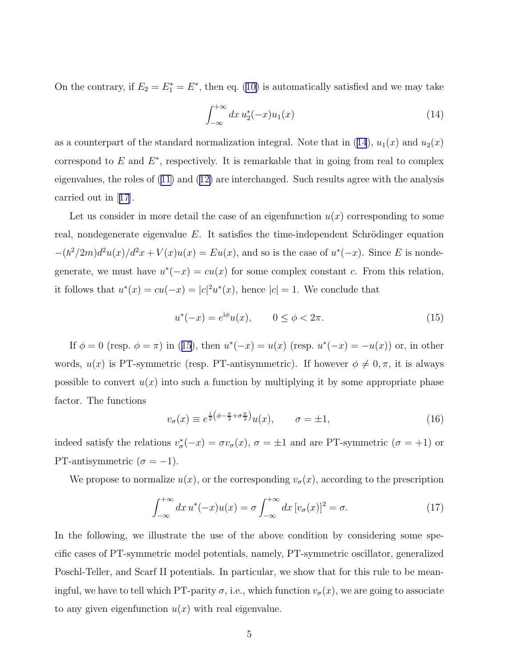<span id="page-4-0"></span>Onthe contrary, if  $E_2 = E_1^* = E^*$ , then eq. ([10\)](#page-3-0) is automatically satisfied and we may take

$$
\int_{-\infty}^{+\infty} dx \, u_2^*(-x) u_1(x) \tag{14}
$$

as a counterpart of the standard normalization integral. Note that in  $(14)$ ,  $u_1(x)$  and  $u_2(x)$ correspond to  $E$  and  $E^*$ , respectively. It is remarkable that in going from real to complex eigenvalues, the roles of [\(11\)](#page-3-0) and([12\)](#page-3-0) are interchanged. Such results agree with the analysis carried out in[[17](#page-13-0)].

Let us consider in more detail the case of an eigenfunction  $u(x)$  corresponding to some real, nondegenerate eigenvalue  $E$ . It satisfies the time-independent Schrödinger equation  $-(\hbar^2/2m)d^2u(x)/d^2x + V(x)u(x) = Eu(x)$ , and so is the case of  $u^*(-x)$ . Since E is nondegenerate, we must have  $u^*(-x) = cu(x)$  for some complex constant c. From this relation, it follows that  $u^*(x) = cu(-x) = |c|^2 u^*(x)$ , hence  $|c| = 1$ . We conclude that

$$
u^*(-x) = e^{i\phi}u(x), \qquad 0 \le \phi < 2\pi. \tag{15}
$$

If  $\phi = 0$  (resp.  $\phi = \pi$ ) in (15), then  $u^*(-x) = u(x)$  (resp.  $u^*(-x) = -u(x)$ ) or, in other words,  $u(x)$  is PT-symmetric (resp. PT-antisymmetric). If however  $\phi \neq 0, \pi$ , it is always possible to convert  $u(x)$  into such a function by multiplying it by some appropriate phase factor. The functions

$$
v_{\sigma}(x) \equiv e^{\frac{i}{2} \left(\phi - \frac{\pi}{2} + \sigma \frac{\pi}{2}\right)} u(x), \qquad \sigma = \pm 1,
$$
\n(16)

indeed satisfy the relations  $v^*_{\sigma}$  $\sigma^*(-x) = \sigma v_{\sigma}(x), \sigma = \pm 1$  and are PT-symmetric  $(\sigma = +1)$  or PT-antisymmetric  $(\sigma = -1)$ .

We propose to normalize  $u(x)$ , or the corresponding  $v_{\sigma}(x)$ , according to the prescription

$$
\int_{-\infty}^{+\infty} dx \, u^*(-x) u(x) = \sigma \int_{-\infty}^{+\infty} dx \, [v_{\sigma}(x)]^2 = \sigma. \tag{17}
$$

In the following, we illustrate the use of the above condition by considering some specific cases of PT-symmetric model potentials, namely, PT-symmetric oscillator, generalized Poschl-Teller, and Scarf II potentials. In particular, we show that for this rule to be meaningful, we have to tell which PT-parity  $\sigma$ , i.e., which function  $v_{\sigma}(x)$ , we are going to associate to any given eigenfunction  $u(x)$  with real eigenvalue.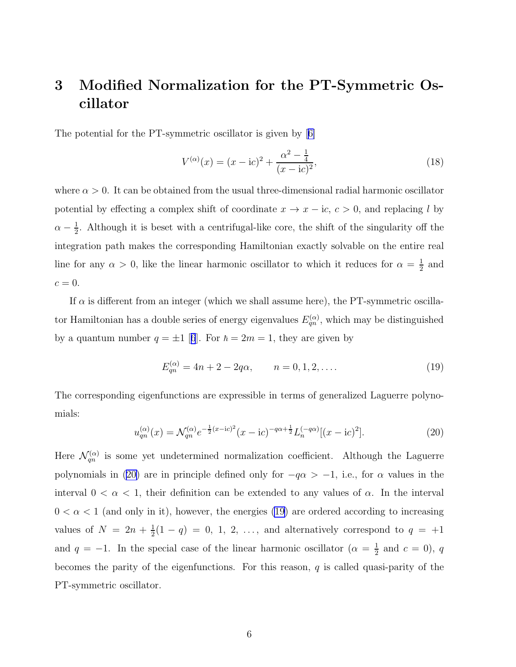# <span id="page-5-0"></span>3 Modified Normalization for the PT-Symmetric Oscillator

The potential for the PT-symmetric oscillator is given by[[6\]](#page-12-0)

$$
V^{(\alpha)}(x) = (x - ic)^2 + \frac{\alpha^2 - \frac{1}{4}}{(x - ic)^2},
$$
\n(18)

where  $\alpha > 0$ . It can be obtained from the usual three-dimensional radial harmonic oscillator potential by effecting a complex shift of coordinate  $x \to x - i c$ ,  $c > 0$ , and replacing l by  $\alpha - \frac{1}{2}$  $\frac{1}{2}$ . Although it is beset with a centrifugal-like core, the shift of the singularity off the integration path makes the corresponding Hamiltonian exactly solvable on the entire real line for any  $\alpha > 0$ , like the linear harmonic oscillator to which it reduces for  $\alpha = \frac{1}{2}$  $\frac{1}{2}$  and  $c=0.$ 

If  $\alpha$  is different from an integer (which we shall assume here), the PT-symmetric oscillator Hamiltonian has a double series of energy eigenvalues  $E_{qn}^{(\alpha)}$ , which may be distinguished bya quantum number  $q = \pm 1$  [[6](#page-12-0)]. For  $\hbar = 2m = 1$ , they are given by

$$
E_{qn}^{(\alpha)} = 4n + 2 - 2q\alpha, \qquad n = 0, 1, 2, .... \tag{19}
$$

The corresponding eigenfunctions are expressible in terms of generalized Laguerre polynomials:

$$
u_{qn}^{(\alpha)}(x) = \mathcal{N}_{qn}^{(\alpha)} e^{-\frac{1}{2}(x-\mathrm{i}c)^2} (x-\mathrm{i}c)^{-q\alpha+\frac{1}{2}} L_n^{(-q\alpha)}[(x-\mathrm{i}c)^2].
$$
 (20)

Here  $\mathcal{N}_{qn}^{(\alpha)}$  is some yet undetermined normalization coefficient. Although the Laguerre polynomials in (20) are in principle defined only for  $-q\alpha > -1$ , i.e., for  $\alpha$  values in the interval  $0 < \alpha < 1$ , their definition can be extended to any values of  $\alpha$ . In the interval  $0 < \alpha < 1$  (and only in it), however, the energies (19) are ordered according to increasing values of  $N = 2n + \frac{1}{2}$  $\frac{1}{2}(1-q) = 0, 1, 2, \ldots$ , and alternatively correspond to  $q = +1$ and  $q = -1$ . In the special case of the linear harmonic oscillator  $(\alpha = \frac{1}{2})$  $\frac{1}{2}$  and  $c = 0$ ), q becomes the parity of the eigenfunctions. For this reason,  $q$  is called quasi-parity of the PT-symmetric oscillator.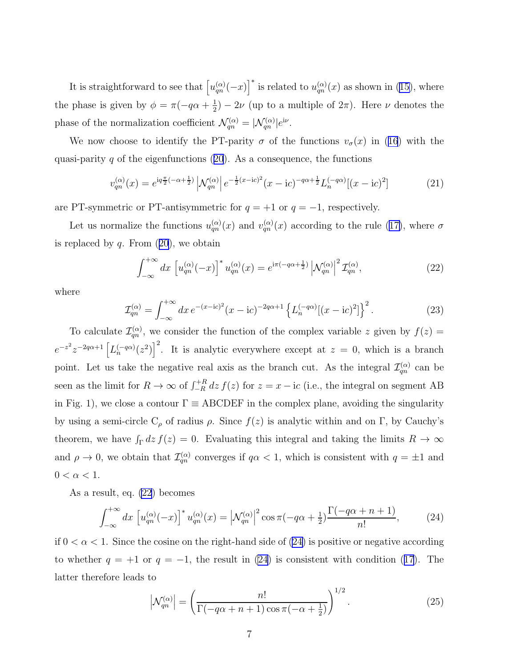<span id="page-6-0"></span>It is straightforward to see that  $\left[u_{qn}^{(\alpha)}(-x)\right]^*$  is related to  $u_{qn}^{(\alpha)}(x)$  as shown in [\(15\)](#page-4-0), where the phase is given by  $\phi = \pi(-q\alpha + \frac{1}{2}$  $\frac{1}{2}$ ) – 2 $\nu$  (up to a multiple of  $2\pi$ ). Here  $\nu$  denotes the phase of the normalization coefficient  $\mathcal{N}_{qn}^{(\alpha)} = |\mathcal{N}_{qn}^{(\alpha)}|e^{i\nu}$ .

Wenow choose to identify the PT-parity  $\sigma$  of the functions  $v_{\sigma}(x)$  in ([16](#page-4-0)) with the quasi-parityq of the eigenfunctions  $(20)$  $(20)$  $(20)$ . As a consequence, the functions

$$
v_{qn}^{(\alpha)}(x) = e^{iq\frac{\pi}{2}(-\alpha + \frac{1}{2})} \left| \mathcal{N}_{qn}^{(\alpha)} \right| e^{-\frac{1}{2}(x - ic)^2} (x - ic)^{-q\alpha + \frac{1}{2}} L_n^{(-q\alpha)}[(x - ic)^2]
$$
 (21)

are PT-symmetric or PT-antisymmetric for  $q = +1$  or  $q = -1$ , respectively.

Letus normalize the functions  $u_{qn}^{(\alpha)}(x)$  and  $v_{qn}^{(\alpha)}(x)$  according to the rule ([17\)](#page-4-0), where  $\sigma$ isreplaced by  $q$ . From  $(20)$  $(20)$  $(20)$ , we obtain

$$
\int_{-\infty}^{+\infty} dx \left[ u_{qn}^{(\alpha)}(-x) \right]^* u_{qn}^{(\alpha)}(x) = e^{i\pi(-q\alpha + \frac{1}{2})} \left| \mathcal{N}_{qn}^{(\alpha)} \right|^2 \mathcal{I}_{qn}^{(\alpha)},\tag{22}
$$

where

$$
\mathcal{I}_{qn}^{(\alpha)} = \int_{-\infty}^{+\infty} dx \, e^{-(x-\mathrm{i}c)^2} (x-\mathrm{i}c)^{-2q\alpha+1} \left\{ L_n^{(-q\alpha)} [(x-\mathrm{i}c)^2] \right\}^2. \tag{23}
$$

To calculate  $\mathcal{I}_{qn}^{(\alpha)}$ , we consider the function of the complex variable z given by  $f(z) =$  $e^{-z^2}z^{-2q\alpha+1}\left[L_n^{(-q\alpha)}(z^2)\right]^2$ . It is analytic everywhere except at  $z=0$ , which is a branch point. Let us take the negative real axis as the branch cut. As the integral  $\mathcal{I}_{qn}^{(\alpha)}$  can be seen as the limit for  $R \to \infty$  of  $\int_{-R}^{+R} dz f(z)$  for  $z = x - ic$  (i.e., the integral on segment AB in Fig. 1), we close a contour  $\Gamma \equiv \text{ABCDEF}$  in the complex plane, avoiding the singularity by using a semi-circle  $C_{\rho}$  of radius  $\rho$ . Since  $f(z)$  is analytic within and on Γ, by Cauchy's theorem, we have  $\int_{\Gamma} dz f(z) = 0$ . Evaluating this integral and taking the limits  $R \to \infty$ and  $\rho \to 0$ , we obtain that  $\mathcal{I}_{qn}^{(\alpha)}$  converges if  $q\alpha < 1$ , which is consistent with  $q = \pm 1$  and  $0 < \alpha < 1$ .

As a result, eq. (22) becomes

$$
\int_{-\infty}^{+\infty} dx \, \left[ u_{qn}^{(\alpha)}(-x) \right]^* u_{qn}^{(\alpha)}(x) = \left| \mathcal{N}_{qn}^{(\alpha)} \right|^2 \cos \pi (-q\alpha + \frac{1}{2}) \frac{\Gamma(-q\alpha + n + 1)}{n!}, \tag{24}
$$

if  $0 < \alpha < 1$ . Since the cosine on the right-hand side of (24) is positive or negative according towhether  $q = +1$  or  $q = -1$ , the result in (24) is consistent with condition ([17](#page-4-0)). The latter therefore leads to

$$
\left|\mathcal{N}_{qn}^{(\alpha)}\right| = \left(\frac{n!}{\Gamma(-q\alpha + n + 1)\cos\pi(-\alpha + \frac{1}{2})}\right)^{1/2}.\tag{25}
$$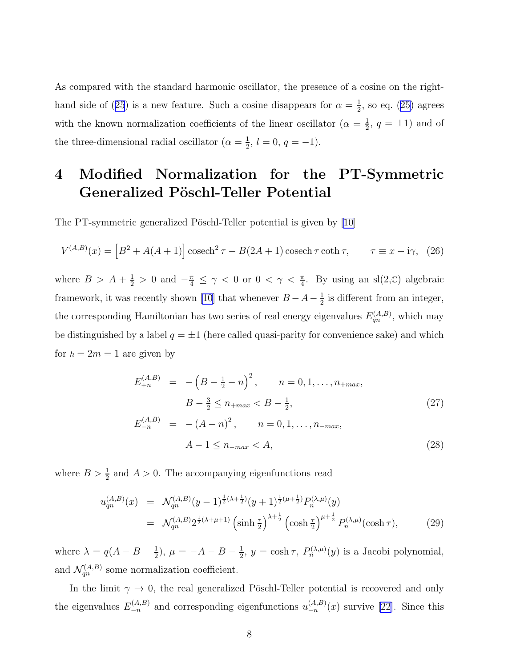<span id="page-7-0"></span>As compared with the standard harmonic oscillator, the presence of a cosine on the right-handside of ([25](#page-6-0)) is a new feature. Such a cosine disappears for  $\alpha = \frac{1}{2}$  $\frac{1}{2}$ , so eq. [\(25\)](#page-6-0) agrees with the known normalization coefficients of the linear oscillator  $(\alpha = \frac{1}{2})$  $\frac{1}{2}$ ,  $q = \pm 1$ ) and of the three-dimensional radial oscillator  $(\alpha = \frac{1}{2})$  $\frac{1}{2}$ ,  $l = 0$ ,  $q = -1$ ).

# 4 Modified Normalization for the PT-Symmetric Generalized Pöschl-Teller Potential

ThePT-symmetric generalized Pöschl-Teller potential is given by [[10\]](#page-12-0)

$$
V^{(A,B)}(x) = \left[B^2 + A(A+1)\right] \operatorname{cosech}^2 \tau - B(2A+1)\operatorname{cosech} \tau \coth \tau, \qquad \tau \equiv x - i\gamma, \tag{26}
$$

where  $B > A + \frac{1}{2} > 0$  and  $-\frac{\pi}{4} \leq \gamma < 0$  or  $0 < \gamma < \frac{\pi}{4}$ . By using an sl(2,C) algebraic framework,it was recently shown [[10](#page-12-0)] that whenever  $B - A - \frac{1}{2}$  $\frac{1}{2}$  is different from an integer, the corresponding Hamiltonian has two series of real energy eigenvalues  $E_{qn}^{(A,B)}$ , which may be distinguished by a label  $q = \pm 1$  (here called quasi-parity for convenience sake) and which for  $\hbar = 2m = 1$  are given by

$$
E_{+n}^{(A,B)} = -\left(B - \frac{1}{2} - n\right)^2, \qquad n = 0, 1, \dots, n_{+max},
$$
  
\n
$$
B - \frac{3}{2} \le n_{+max} < B - \frac{1}{2},
$$
  
\n
$$
E_{-n}^{(A,B)} = -(A - n)^2, \qquad n = 0, 1, \dots, n_{-max},
$$
  
\n
$$
A - 1 \le n_{-max} < A,
$$
\n(28)

where  $B > \frac{1}{2}$  and  $A > 0$ . The accompanying eigenfunctions read

$$
u_{qn}^{(A,B)}(x) = \mathcal{N}_{qn}^{(A,B)}(y-1)^{\frac{1}{2}(\lambda+\frac{1}{2})}(y+1)^{\frac{1}{2}(\mu+\frac{1}{2})}P_n^{(\lambda,\mu)}(y)
$$
  

$$
= \mathcal{N}_{qn}^{(A,B)}2^{\frac{1}{2}(\lambda+\mu+1)}\left(\sinh\frac{\tau}{2}\right)^{\lambda+\frac{1}{2}}\left(\cosh\frac{\tau}{2}\right)^{\mu+\frac{1}{2}}P_n^{(\lambda,\mu)}(\cosh\tau), \tag{29}
$$

where  $\lambda = q(A - B + \frac{1}{2})$  $(\frac{1}{2}), \mu = -A - B - \frac{1}{2}$  $\frac{1}{2}$ ,  $y = \cosh \tau$ ,  $P_n^{(\lambda,\mu)}(y)$  is a Jacobi polynomial, and  $\mathcal{N}_{qn}^{(A,B)}$  some normalization coefficient.

In the limit  $\gamma \to 0$ , the real generalized Pöschl-Teller potential is recovered and only the eigenvalues  $E_{-n}^{(A,B)}$  and corresponding eigenfunctions  $u_{-n}^{(A,B)}(x)$  survive [\[22\]](#page-13-0). Since this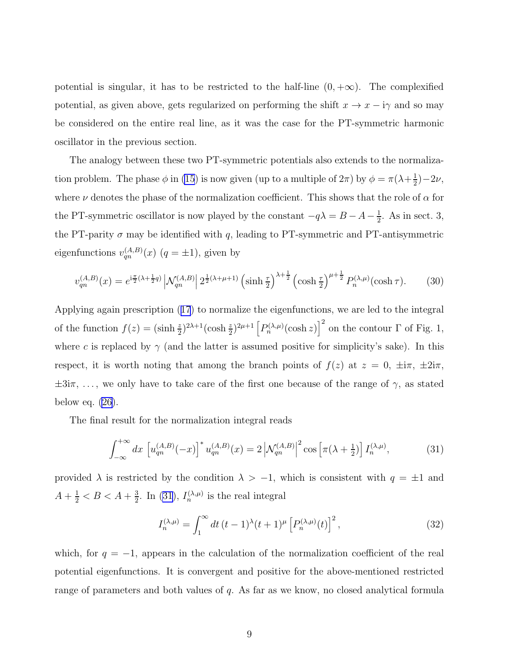<span id="page-8-0"></span>potential is singular, it has to be restricted to the half-line  $(0, +\infty)$ . The complexified potential, as given above, gets regularized on performing the shift  $x \to x - i\gamma$  and so may be considered on the entire real line, as it was the case for the PT-symmetric harmonic oscillator in the previous section.

The analogy between these two PT-symmetric potentials also extends to the normalization problem. The phase  $\phi$  in [\(15](#page-4-0)) is now given (up to a multiple of  $2\pi$ ) by  $\phi = \pi(\lambda + \frac{1}{2})$  $(\frac{1}{2})-2\nu,$ where  $\nu$  denotes the phase of the normalization coefficient. This shows that the role of  $\alpha$  for the PT-symmetric oscillator is now played by the constant  $-q\lambda = B - A - \frac{1}{2}$  $\frac{1}{2}$ . As in sect. 3, the PT-parity  $\sigma$  may be identified with q, leading to PT-symmetric and PT-antisymmetric eigenfunctions  $v_{qn}^{(A,B)}(x)$   $(q = \pm 1)$ , given by

$$
v_{qn}^{(A,B)}(x) = e^{i\frac{\pi}{2}(\lambda + \frac{1}{2}q)} \left| \mathcal{N}_{qn}^{(A,B)} \right| 2^{\frac{1}{2}(\lambda + \mu + 1)} \left( \sinh\frac{\tau}{2} \right)^{\lambda + \frac{1}{2}} \left( \cosh\frac{\tau}{2} \right)^{\mu + \frac{1}{2}} P_n^{(\lambda,\mu)}(\cosh\tau). \tag{30}
$$

Applying again prescription([17](#page-4-0)) to normalize the eigenfunctions, we are led to the integral of the function  $f(z) = (\sinh \frac{z}{2})^{2\lambda+1} (\cosh \frac{z}{2})^{2\mu+1} [P_n^{(\lambda,\mu)}(\cosh z)]^2$  on the contour  $\Gamma$  of Fig. 1, where c is replaced by  $\gamma$  (and the latter is assumed positive for simplicity's sake). In this respect, it is worth noting that among the branch points of  $f(z)$  at  $z = 0$ ,  $\pm i\pi$ ,  $\pm 2i\pi$ ,  $\pm 3i\pi, \ldots$ , we only have to take care of the first one because of the range of  $\gamma$ , as stated below eq.  $(26)$ .

The final result for the normalization integral reads

$$
\int_{-\infty}^{+\infty} dx \, \left[ u_{qn}^{(A,B)}(-x) \right]^* u_{qn}^{(A,B)}(x) = 2 \left| \mathcal{N}_{qn}^{(A,B)} \right|^2 \cos \left[ \pi (\lambda + \frac{1}{2}) \right] I_n^{(\lambda,\mu)}, \tag{31}
$$

provided  $\lambda$  is restricted by the condition  $\lambda > -1$ , which is consistent with  $q = \pm 1$  and  $A + \frac{1}{2} < B < A + \frac{3}{2}$  $\frac{3}{2}$ . In (31),  $I_n^{(\lambda,\mu)}$  is the real integral

$$
I_n^{(\lambda,\mu)} = \int_1^\infty dt \, (t-1)^\lambda (t+1)^\mu \left[ P_n^{(\lambda,\mu)}(t) \right]^2, \tag{32}
$$

which, for  $q = -1$ , appears in the calculation of the normalization coefficient of the real potential eigenfunctions. It is convergent and positive for the above-mentioned restricted range of parameters and both values of q. As far as we know, no closed analytical formula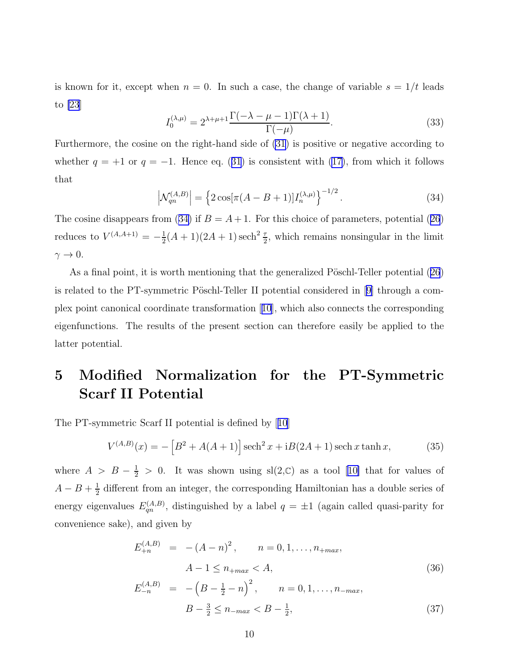<span id="page-9-0"></span>is known for it, except when  $n = 0$ . In such a case, the change of variable  $s = 1/t$  leads to [\[23](#page-13-0)]

$$
I_0^{(\lambda,\mu)} = 2^{\lambda+\mu+1} \frac{\Gamma(-\lambda-\mu-1)\Gamma(\lambda+1)}{\Gamma(-\mu)}.
$$
\n(33)

Furthermore, the cosine on the right-hand side of [\(31](#page-8-0)) is positive or negative according to whether $q = +1$  or  $q = -1$ . Hence eq. ([31](#page-8-0)) is consistent with [\(17\)](#page-4-0), from which it follows that

$$
\left| \mathcal{N}_{qn}^{(A,B)} \right| = \left\{ 2 \cos[\pi(A - B + 1)] I_n^{(\lambda,\mu)} \right\}^{-1/2}.
$$
 (34)

Thecosine disappears from (34) if  $B = A + 1$ . For this choice of parameters, potential ([26](#page-7-0)) reduces to  $V^{(A,A+1)} = -\frac{1}{2}$  $\frac{1}{2}(A+1)(2A+1)\,\text{sech}^2\frac{\tau}{2}$ , which remains nonsingular in the limit  $\gamma \to 0$ .

Asa final point, it is worth mentioning that the generalized Pöschl-Teller potential ([26](#page-7-0)) isrelated to the PT-symmetric Pöschl-Teller II potential considered in  $[9]$  $[9]$  through a complex point canonical coordinate transformation[[10](#page-12-0)], which also connects the corresponding eigenfunctions. The results of the present section can therefore easily be applied to the latter potential.

## 5 Modified Normalization for the PT-Symmetric Scarf II Potential

The PT-symmetric Scarf II potential is defined by[[10](#page-12-0)]

$$
V^{(A,B)}(x) = -[B^2 + A(A+1)]\operatorname{sech}^2 x + iB(2A+1)\operatorname{sech} x \tanh x,\tag{35}
$$

where $A > B - \frac{1}{2} > 0$ . It was shown using sl(2, C) as a tool [[10\]](#page-12-0) that for values of  $A - B + \frac{1}{2}$  $\frac{1}{2}$  different from an integer, the corresponding Hamiltonian has a double series of energy eigenvalues  $E_{qn}^{(A,B)}$ , distinguished by a label  $q = \pm 1$  (again called quasi-parity for convenience sake), and given by

$$
E_{+n}^{(A,B)} = -(A-n)^2, \qquad n = 0, 1, ..., n_{+max},
$$
  

$$
A-1 \le n_{+max} < A,
$$
 (36)

$$
E_{-n}^{(A,B)} = -\left(B - \frac{1}{2} - n\right)^2, \qquad n = 0, 1, \dots, n_{-max},
$$
  

$$
B - \frac{3}{2} \le n_{-max} < B - \frac{1}{2}, \tag{37}
$$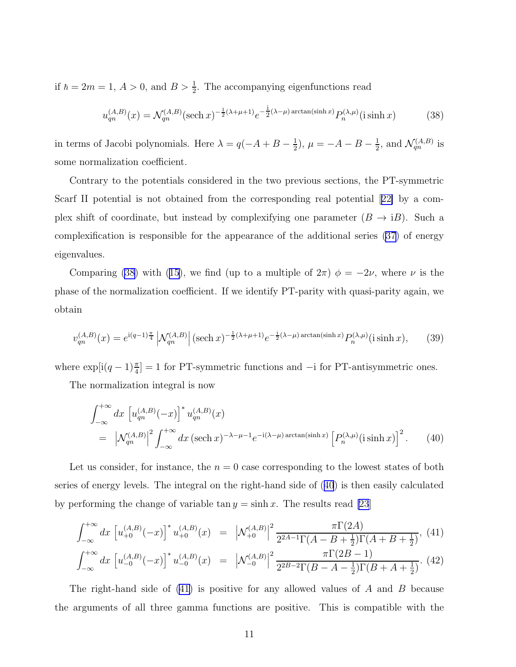<span id="page-10-0"></span>if  $\hbar = 2m = 1, A > 0$ , and  $B > \frac{1}{2}$ . The accompanying eigenfunctions read

$$
u_{qn}^{(A,B)}(x) = \mathcal{N}_{qn}^{(A,B)}(\text{sech }x)^{-\frac{1}{2}(\lambda+\mu+1)}e^{-\frac{i}{2}(\lambda-\mu)\arctan(\sinh x)}P_n^{(\lambda,\mu)}(\text{i}\sinh x) \tag{38}
$$

in terms of Jacobi polynomials. Here  $\lambda = q(-A + B - \frac{1}{2})$  $(\frac{1}{2}), \mu = -A - B - \frac{1}{2}$  $\frac{1}{2}$ , and  $\mathcal{N}_{qn}^{(A,B)}$  is some normalization coefficient.

Contrary to the potentials considered in the two previous sections, the PT-symmetric Scarf II potential is not obtained from the corresponding real potential[[22\]](#page-13-0) by a complex shift of coordinate, but instead by complexifying one parameter  $(B \to iB)$ . Such a complexification is responsible for the appearance of the additional series [\(37\)](#page-9-0) of energy eigenvalues.

Comparing(38) with ([15\)](#page-4-0), we find (up to a multiple of  $2\pi$ )  $\phi = -2\nu$ , where  $\nu$  is the phase of the normalization coefficient. If we identify PT-parity with quasi-parity again, we obtain

$$
v_{qn}^{(A,B)}(x) = e^{i(q-1)\frac{\pi}{4}} \left| \mathcal{N}_{qn}^{(A,B)} \right| (\text{sech } x)^{-\frac{1}{2}(\lambda+\mu+1)} e^{-\frac{i}{2}(\lambda-\mu)\arctan(\sinh x)} P_n^{(\lambda,\mu)}(\text{i sinh } x), \tag{39}
$$

where  $\exp[i(q-1)\frac{\pi}{4}] = 1$  for PT-symmetric functions and  $-i$  for PT-antisymmetric ones.

The normalization integral is now

$$
\int_{-\infty}^{+\infty} dx \left[ u_{qn}^{(A,B)}(-x) \right]^* u_{qn}^{(A,B)}(x)
$$
  
=  $\left| \mathcal{N}_{qn}^{(A,B)} \right|^2 \int_{-\infty}^{+\infty} dx \left( \operatorname{sech} x \right)^{-\lambda - \mu - 1} e^{-i(\lambda - \mu) \arctan(\sinh x)} \left[ P_n^{(\lambda,\mu)}(\operatorname{i} \sinh x) \right]^2.$  (40)

Let us consider, for instance, the  $n = 0$  case corresponding to the lowest states of both series of energy levels. The integral on the right-hand side of (40) is then easily calculated by performing the change of variable tan  $y = \sinh x$ . The results read [\[23](#page-13-0)]

$$
\int_{-\infty}^{+\infty} dx \, \left[ u_{+0}^{(A,B)}(-x) \right]^* u_{+0}^{(A,B)}(x) = \left| \mathcal{N}_{+0}^{(A,B)} \right|^2 \frac{\pi \Gamma(2A)}{2^{2A-1} \Gamma(A - B + \frac{1}{2}) \Gamma(A + B + \frac{1}{2})}, \tag{41}
$$

$$
\int_{-\infty}^{+\infty} dx \, \left[ u_{-0}^{(A,B)}(-x) \right]^* u_{-0}^{(A,B)}(x) = \left| \mathcal{N}_{-0}^{(A,B)} \right|^2 \frac{\pi \Gamma(2B-1)}{2^{2B-2} \Gamma(B-A-\frac{1}{2}) \Gamma(B+A+\frac{1}{2})} . \tag{42}
$$

The right-hand side of  $(41)$  is positive for any allowed values of A and B because the arguments of all three gamma functions are positive. This is compatible with the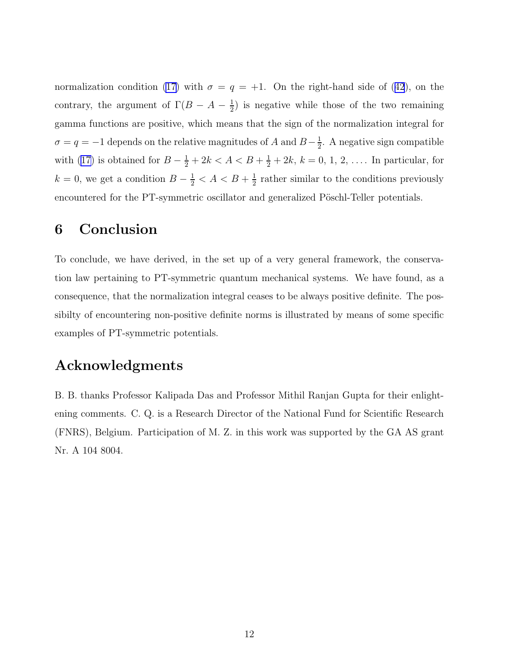normalization condition [\(17\)](#page-4-0)with  $\sigma = q = +1$ . On the right-hand side of ([42](#page-10-0)), on the contrary, the argument of  $\Gamma(B-A-\frac{1}{2})$  $\frac{1}{2}$ ) is negative while those of the two remaining gamma functions are positive, which means that the sign of the normalization integral for  $\sigma = q = -1$  depends on the relative magnitudes of A and  $B-\frac{1}{2}$  $\frac{1}{2}$ . A negative sign compatible with [\(17\)](#page-4-0) is obtained for  $B - \frac{1}{2} + 2k < A < B + \frac{1}{2} + 2k$ ,  $k = 0, 1, 2, \ldots$  In particular, for  $k = 0$ , we get a condition  $B - \frac{1}{2} < A < B + \frac{1}{2}$  $\frac{1}{2}$  rather similar to the conditions previously encountered for the PT-symmetric oscillator and generalized Pöschl-Teller potentials.

#### 6 Conclusion

To conclude, we have derived, in the set up of a very general framework, the conservation law pertaining to PT-symmetric quantum mechanical systems. We have found, as a consequence, that the normalization integral ceases to be always positive definite. The possibilty of encountering non-positive definite norms is illustrated by means of some specific examples of PT-symmetric potentials.

### Acknowledgments

B. B. thanks Professor Kalipada Das and Professor Mithil Ranjan Gupta for their enlightening comments. C. Q. is a Research Director of the National Fund for Scientific Research (FNRS), Belgium. Participation of M. Z. in this work was supported by the GA AS grant Nr. A 104 8004.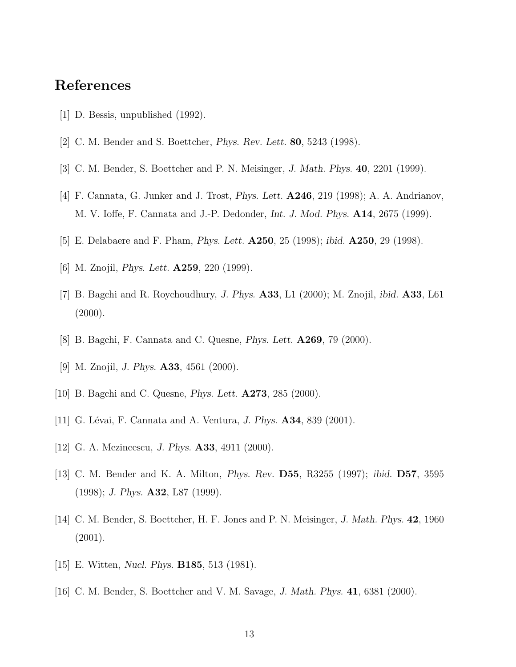### <span id="page-12-0"></span>References

- [1] D. Bessis, unpublished (1992).
- [2] C. M. Bender and S. Boettcher, Phys. Rev. Lett. 80, 5243 (1998).
- [3] C. M. Bender, S. Boettcher and P. N. Meisinger, J. Math. Phys. 40, 2201 (1999).
- [4] F. Cannata, G. Junker and J. Trost, Phys. Lett. A246, 219 (1998); A. A. Andrianov, M. V. Ioffe, F. Cannata and J.-P. Dedonder, Int. J. Mod. Phys. A14, 2675 (1999).
- [5] E. Delabaere and F. Pham, Phys. Lett. A250, 25 (1998); ibid. A250, 29 (1998).
- [6] M. Znojil, *Phys. Lett.* **A259**, 220 (1999).
- [7] B. Bagchi and R. Roychoudhury, *J. Phys.*  $\mathbf{A33}$ , L1 (2000); M. Znojil, *ibid.*  $\mathbf{A33}$ , L61  $(2000).$
- [8] B. Bagchi, F. Cannata and C. Quesne, Phys. Lett. A269, 79 (2000).
- [9] M. Znojil, J. Phys. A33, 4561 (2000).
- [10] B. Bagchi and C. Quesne, Phys. Lett. A273, 285 (2000).
- [11] G. Lévai, F. Cannata and A. Ventura, *J. Phys.*  $\mathbf{A34}$ , 839 (2001).
- [12] G. A. Mezincescu, J. Phys. **A33**, 4911 (2000).
- [13] C. M. Bender and K. A. Milton, Phys. Rev. D55, R3255 (1997); ibid. D57, 3595  $(1998)$ ; J. Phys. **A32**, L87  $(1999)$ .
- [14] C. M. Bender, S. Boettcher, H. F. Jones and P. N. Meisinger, J. Math. Phys. 42, 1960 (2001).
- [15] E. Witten, Nucl. Phys. B185, 513 (1981).
- [16] C. M. Bender, S. Boettcher and V. M. Savage, J. Math. Phys. 41, 6381 (2000).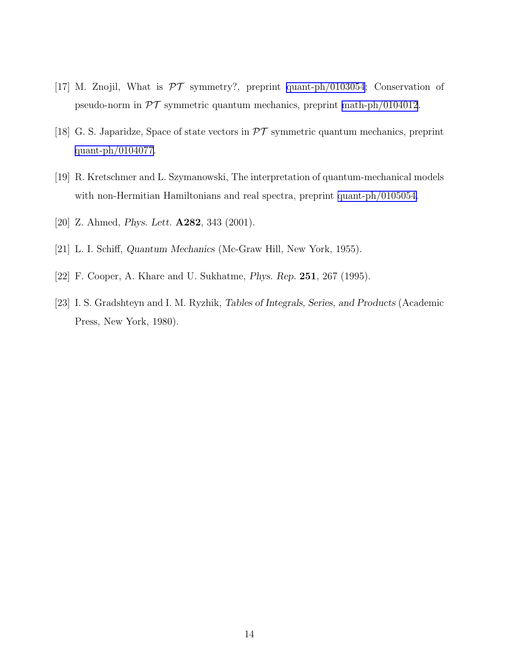- <span id="page-13-0"></span>[17] M. Znojil, What is  $\mathcal{PT}$  symmetry?, preprint [quant-ph/0103054](http://arxiv.org/abs/quant-ph/0103054); Conservation of pseudo-norm in  $\mathcal{PT}$  symmetric quantum mechanics, preprint [math-ph/0104012](http://arxiv.org/abs/math-ph/0104012).
- [18] G. S. Japaridze, Space of state vectors in  $\mathcal{PT}$  symmetric quantum mechanics, preprint [quant-ph/0104077](http://arxiv.org/abs/quant-ph/0104077).
- [19] R. Kretschmer and L. Szymanowski, The interpretation of quantum-mechanical models with non-Hermitian Hamiltonians and real spectra, preprint [quant-ph/0105054.](http://arxiv.org/abs/quant-ph/0105054)
- [20] Z. Ahmed, *Phys. Lett.* **A282**, 343 (2001).
- [21] L. I. Schiff, Quantum Mechanics (Mc-Graw Hill, New York, 1955).
- [22] F. Cooper, A. Khare and U. Sukhatme, Phys. Rep. 251, 267 (1995).
- [23] I. S. Gradshteyn and I. M. Ryzhik, Tables of Integrals, Series, and Products (Academic Press, New York, 1980).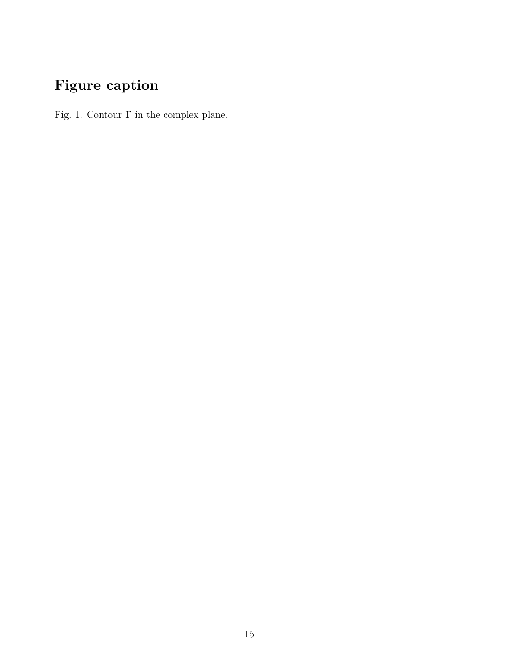# Figure caption

Fig. 1. Contour  $\Gamma$  in the complex plane.